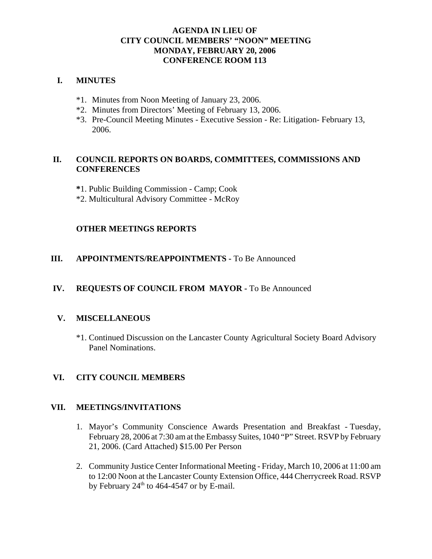### **AGENDA IN LIEU OF CITY COUNCIL MEMBERS' "NOON" MEETING MONDAY, FEBRUARY 20, 2006 CONFERENCE ROOM 113**

## **I. MINUTES**

- \*1. Minutes from Noon Meeting of January 23, 2006.
- \*2. Minutes from Directors' Meeting of February 13, 2006.
- \*3. Pre-Council Meeting Minutes Executive Session Re: Litigation- February 13, 2006.

# **II. COUNCIL REPORTS ON BOARDS, COMMITTEES, COMMISSIONS AND CONFERENCES**

- **\***1. Public Building Commission Camp; Cook
- \*2. Multicultural Advisory Committee McRoy

## **OTHER MEETINGS REPORTS**

#### **III.** APPOINTMENTS/REAPPOINTMENTS - To Be Announced

## **IV. REQUESTS OF COUNCIL FROM MAYOR -** To Be Announced

#### **V. MISCELLANEOUS**

\*1. Continued Discussion on the Lancaster County Agricultural Society Board Advisory Panel Nominations.

#### **VI. CITY COUNCIL MEMBERS**

#### **VII. MEETINGS/INVITATIONS**

- 1. Mayor's Community Conscience Awards Presentation and Breakfast Tuesday, February 28, 2006 at 7:30 am at the Embassy Suites, 1040 "P" Street. RSVP by February 21, 2006. (Card Attached) \$15.00 Per Person
- 2. Community Justice Center Informational Meeting Friday, March 10, 2006 at 11:00 am to 12:00 Noon at the Lancaster County Extension Office, 444 Cherrycreek Road. RSVP by February  $24<sup>th</sup>$  to 464-4547 or by E-mail.